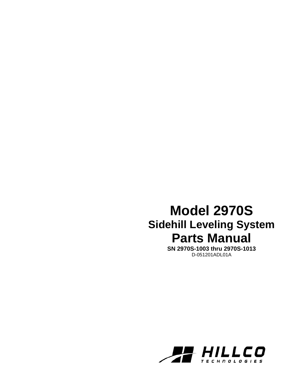# **Model 2970S Sidehill Leveling System Parts Manual**

**SN 2970S-1003 thru 2970S-1013**  D-051201ADL01A

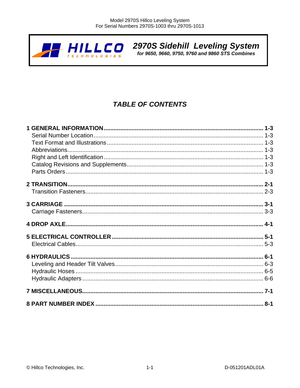

2970S Sidehill Leveling System<br>for 9650, 9660, 9750, 9760 and 9860 STS Combines

# **TABLE OF CONTENTS**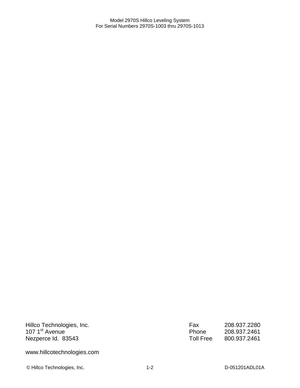Hillco Technologies, Inc. 107 1<sup>st</sup> Avenue Nezperce Id. 83543

Fax 208.937.2280<br>Phone 208.937.2461 Phone 208.937.2461<br>Toll Free 800.937.2461 800.937.2461

www.hillcotechnologies.com

© Hillco Technologies, Inc. 1-2 D-051201ADL01A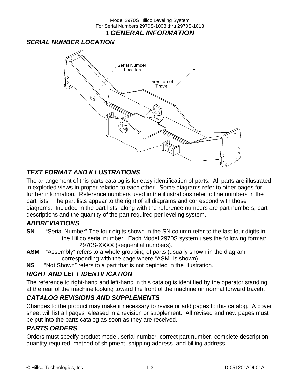Model 2970S Hillco Leveling System For Serial Numbers 2970S-1003 thru 2970S-1013 **1** *GENERAL INFORMATION* 

### *SERIAL NUMBER LOCATION*



# *TEXT FORMAT AND ILLUSTRATIONS*

The arrangement of this parts catalog is for easy identification of parts. All parts are illustrated in exploded views in proper relation to each other. Some diagrams refer to other pages for further information. Reference numbers used in the illustrations refer to line numbers in the part lists. The part lists appear to the right of all diagrams and correspond with those diagrams. Included in the part lists, along with the reference numbers are part numbers, part descriptions and the quantity of the part required per leveling system.

### *ABBREVIATIONS*

- **SN** "Serial Number" The four digits shown in the SN column refer to the last four digits in the Hillco serial number. Each Model 2970S system uses the following format: 2970S-XXXX (sequential numbers).
- **ASM** "Assembly" refers to a whole grouping of parts (usually shown in the diagram corresponding with the page where "ASM" is shown).
- **NS** "Not Shown" refers to a part that is not depicted in the illustration.

### *RIGHT AND LEFT IDENTIFICATION*

The reference to right-hand and left-hand in this catalog is identified by the operator standing at the rear of the machine looking toward the front of the machine (in normal forward travel).

### *CATALOG REVISIONS AND SUPPLEMENTS*

Changes to the product may make it necessary to revise or add pages to this catalog. A cover sheet will list all pages released in a revision or supplement. All revised and new pages must be put into the parts catalog as soon as they are received.

### *PARTS ORDERS*

Orders must specify product model, serial number, correct part number, complete description, quantity required, method of shipment, shipping address, and billing address.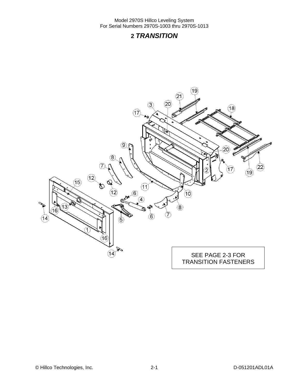# **2** *TRANSITION*

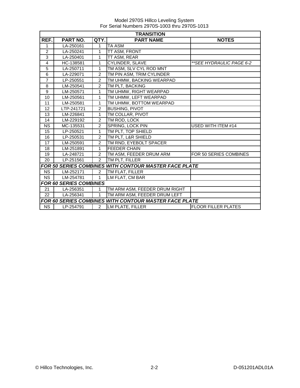|                | <b>TRANSITION</b>             |                |                                                       |                            |  |
|----------------|-------------------------------|----------------|-------------------------------------------------------|----------------------------|--|
| REF.           | <b>PART NO.</b>               | QTY.           | <b>PART NAME</b>                                      | <b>NOTES</b>               |  |
| 1              | LA-250161                     | 1              | <b>TA ASM</b>                                         |                            |  |
| $\overline{c}$ | LA-250241                     | 1              | TT ASM, FRONT                                         |                            |  |
| 3              | LA-250401                     | 1              | TT ASM, REAR                                          |                            |  |
| 4              | HC-138581                     | $\mathbf{1}$   | CYLINDER, SLAVE                                       | **SEE HYDRAULIC PAGE 6-2   |  |
| $\overline{5}$ | LA-250711                     | 1              | TM ASM, SLV CYL ROD MNT                               |                            |  |
| 6              | LA-229071                     | $\overline{2}$ | TM PIN ASM, TRIM CYLINDER                             |                            |  |
| $\overline{7}$ | LP-250551                     | $\overline{2}$ | TM UHMW, BACKING WEARPAD                              |                            |  |
| 8              | LM-250541                     | $\overline{2}$ | TM PLT, BACKING                                       |                            |  |
| 9              | LM-250571                     | 1              | TM UHMW, RIGHT WEARPAD                                |                            |  |
| 10             | LM-250561                     | 1              | TM UHMW, LEFT WEARPAD                                 |                            |  |
| 11             | LM-250581                     | 1              | TM UHMW, BOTTOM WEARPAD                               |                            |  |
| 12             | LTP-241721                    | $\overline{2}$ | <b>BUSHING, PIVOT</b>                                 |                            |  |
| 13             | LM-226841                     | 1              | TM COLLAR, PIVOT                                      |                            |  |
| 14             | LM-229192                     | $\overline{2}$ | TM ROD, LOCK                                          |                            |  |
| <b>NS</b>      | MC-135531                     | $\overline{2}$ | SPRING, LOCK PIN                                      | USED WITH ITEM #14         |  |
| 15             | LP-250521                     | 1              | TM PLT, TOP SHIELD                                    |                            |  |
| 16             | LP-250531                     | $\overline{2}$ | TM PLT, L&R SHIELD                                    |                            |  |
| 17             | LM-250591                     | $\overline{2}$ | TM RND, EYEBOLT SPACER                                |                            |  |
| 18             | LM-251891                     | $\mathbf{1}$   | <b>FEEDER CHAIN</b>                                   |                            |  |
| 19             | LA-248721                     | $\overline{2}$ | TM ASM, FEEDER DRUM ARM                               | FOR 50 SERIES COMBINES     |  |
| 20             | LP-251561                     | $\overline{2}$ | TM PLT, FILLER                                        |                            |  |
|                |                               |                | FOR 50 SERIES COMBINES WITH CONTOUR MASTER FACE PLATE |                            |  |
| <b>NS</b>      | LM-252171                     | $\overline{2}$ | TM FLAT, FILLER                                       |                            |  |
| <b>NS</b>      | LM-254781                     | $\mathbf{1}$   | LM FLAT, CM BAR                                       |                            |  |
|                | <b>FOR 60 SERIES COMBINES</b> |                |                                                       |                            |  |
| 21             | LA-256351                     | $\mathbf{1}$   | TM ARM ASM, FEEDER DRUM RIGHT                         |                            |  |
| 22             | LA-256341                     | 1              | TM ARM ASM, FEEDER DRUM LEFT                          |                            |  |
|                |                               |                | FOR 60 SERIES COMBINES WITH CONTOUR MASTER FACE PLATE |                            |  |
| <b>NS</b>      | LP-254791                     | $\overline{2}$ | <b>LM PLATE, FILLER</b>                               | <b>FLOOR FILLER PLATES</b> |  |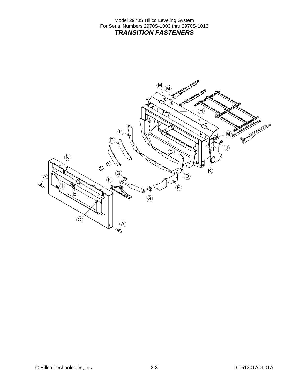Model 2970S Hillco Leveling System For Serial Numbers 2970S-1003 thru 2970S-1013 *TRANSITION FASTENERS* 

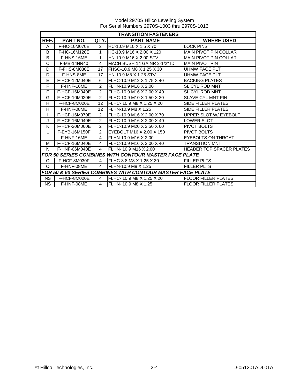|              | <b>TRANSITION FASTENERS</b> |                         |                                                                       |                                 |  |
|--------------|-----------------------------|-------------------------|-----------------------------------------------------------------------|---------------------------------|--|
| REF.         | <b>PART NO.</b>             | QTY.                    | <b>PART NAME</b>                                                      | <b>WHERE USED</b>               |  |
| A            | F-HC-10M070E                | $\mathcal{P}$           | IHC-10.9 M10 X 1.5 X 70                                               | <b>LOCK PINS</b>                |  |
| B            | F-HC-16M120E                | 1                       | HC-10.9 M16 X 2.00 X 120                                              | <b>MAIN PIVOT PIN COLLAR</b>    |  |
| B            | F-HNS-16ME                  | 1                       | HN-10.9 M16 X 2.00 STV                                                | <b>MAIN PIVOT PIN COLLAR</b>    |  |
| C            | F-MB-14NR40                 | $\overline{\mathbf{4}}$ | MACH BUSH 14 GA NR 2-1/2" ID                                          | <b>MAIN PIVOT PIN</b>           |  |
| D            | F-FHS-8M030E                | 17                      | FHSC-10.9 M8 X 1.25 X 30                                              | <b>UHMW FACE PLT</b>            |  |
| D            | F-HNS-8ME                   | 17                      | HN-10.9 M8 X 1.25 STV                                                 | <b>UHMW FACE PLT</b>            |  |
| E            | F-HCF-12M040E               | 6                       | FLHC-10.9 M12 X 1.75 X 40                                             | <b>BACKING PLATES</b>           |  |
| F            | F-HNF-16ME                  | $\overline{2}$          | FLHN-10.9 M16 X 2.00                                                  | <b>SL CYL ROD MNT</b>           |  |
| F            | F-HCF-16M040E               | 2                       | FLHC-10.9 M16 X 2.00 X 40                                             | <b>SL CYL ROD MNT</b>           |  |
| G            | F-HCF-10M020E               | $\overline{2}$          | FLHC-10.9 M10 X 1.50 X 20                                             | SLAVE CYL MNT PIN               |  |
| H            | F-HCF-8M020E                | 12                      | FLHC-10.9 M8 X 1.25 X 20                                              | <b>SIDE FILLER PLATES</b>       |  |
| H            | F-HNF-08ME                  | 12                      | FLHN-10.9 M8 X 1.25                                                   | SIDE FILLER PLATES              |  |
|              | F-HCF-16M070E               | 2                       | FLHC-10.9 M16 X 2.00 X 70                                             | UPPER SLOT W/ EYEBOLT           |  |
| J            | F-HCF-16M040E               | $\overline{2}$          | FLHC-10.9 M16 X 2.00 X 40                                             | <b>LOWER SLOT</b>               |  |
| K            | F-HCF-20M060E               | $\overline{2}$          | FLHC-10.9 M20 X 2.50 X 60                                             | <b>PIVOT BOLTS</b>              |  |
| L            | F-EYB-16M150F               | $\overline{2}$          | EYEBOLT M16 X 2.00 X 150                                              | PIVOT BOLTS                     |  |
| $\mathsf{L}$ | F-HNF-16ME                  | 4                       | FLHN-10.9 M16 X 2.00                                                  | <b>EYEBOLTS ON THROAT</b>       |  |
| М            | F-HCF-16M040E               | $\overline{4}$          | IFLHC-10.9 M16 X 2.00 X 40                                            | <b>TRANSITION MNT</b>           |  |
| N            | F-HNF-06M040E               | 4                       | FLHN-10.9 M16 X 2.00                                                  | <b>HEADER TOP SPACER PLATES</b> |  |
|              |                             |                         | <b>FOR 50 SERIES COMBINES WITH CONTOUR MASTER FACE PLATE</b>          |                                 |  |
| O            | F-HCF-8M030F                | $\overline{4}$          | FLHC-8.8 M8 X 1.25 X 30                                               | <b>FILLER PLTS</b>              |  |
| O            | F-HNF-08ME                  | 4                       | FLHN-10.9 M8 X 1.25                                                   | <b>FILLER PLTS</b>              |  |
|              |                             |                         | <b>FOR 50 &amp; 60 SERIES COMBINES WITH CONTOUR MASTER FACE PLATE</b> |                                 |  |
| <b>NS</b>    | F-HCF-8M020E                | 4                       | FLHC- 10.9 M8 X 1.25 X 20                                             | <b>FLOOR FILLER PLATES</b>      |  |
| <b>NS</b>    | F-HNF-08ME                  | 4                       | FLHN-10.9 M8 X 1.25                                                   | <b>FLOOR FILLER PLATES</b>      |  |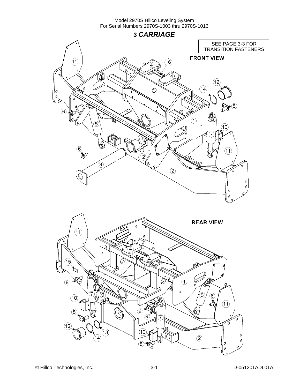**3** *CARRIAGE* 

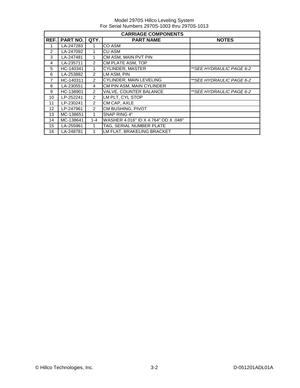|               | <b>CARRIAGE COMPONENTS</b> |                |                                      |                           |  |  |  |
|---------------|----------------------------|----------------|--------------------------------------|---------------------------|--|--|--|
| REF.          | <b>PART NO.</b>            | QTY.           | <b>PART NAME</b>                     | <b>NOTES</b>              |  |  |  |
|               | LA-247283                  |                | <b>CO ASM</b>                        |                           |  |  |  |
| $\mathcal{P}$ | LA-247092                  |                | <b>CU ASM</b>                        |                           |  |  |  |
| 3             | LA-247481                  | 1              | CM ASM, MAIN PVT PIN                 |                           |  |  |  |
| 4             | LA-235711                  | $\mathcal{P}$  | CM PLATE ASM, TOP                    |                           |  |  |  |
| 5             | HC-140341                  | 1              | <b>CYLINDER, MASTER</b>              | ** SEE HYDRAULIC PAGE 6-2 |  |  |  |
| 6             | LA-253882                  | 2              | LM ASM, PIN                          |                           |  |  |  |
| 7             | HC-140311                  | 2              | <b>CYLINDER, MAIN LEVELING</b>       | **SEE HYDRAULIC PAGE 6-2  |  |  |  |
| 8             | LA-230551                  | 4              | CM PIN ASM, MAIN CYLINDER            |                           |  |  |  |
| 9             | HC-138901                  | 2              | <b>VALVE, COUNTER BALANCE</b>        | ** SEE HYDRAULIC PAGE 6-2 |  |  |  |
| 10            | LP-252241                  | 2              | LM PLT, CYL STOP                     |                           |  |  |  |
| 11            | LP-230241                  | 2              | CM CAP, AXLE                         |                           |  |  |  |
| 12            | LP-247961                  | $\overline{2}$ | CM BUSHING, PIVOT                    |                           |  |  |  |
| 13            | MC-138651                  | 1              | SNAP RING 4"                         |                           |  |  |  |
| 14            | MC-138641                  | $1 - 4$        | WASHER 4.016" ID X 4.764" OD X .048" |                           |  |  |  |
| 15            | LA-255961                  | 1              | TAG, SERIAL NUMBER PLATE             |                           |  |  |  |
| 16            | LA-248781                  |                | LM FLAT, BRAKELING BRACKET           |                           |  |  |  |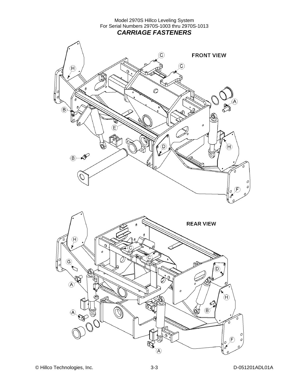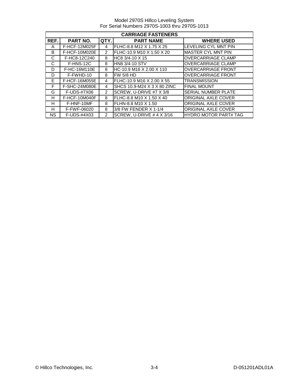Model 2970S Hillco Leveling System For Serial Numbers 2970S-1003 thru 2970S-1013

|           | <b>CARRIAGE FASTENERS</b> |                |                             |                              |  |  |
|-----------|---------------------------|----------------|-----------------------------|------------------------------|--|--|
| REF.      | <b>PART NO.</b>           | QTY.           | <b>PART NAME</b>            | <b>WHERE USED</b>            |  |  |
| A         | F-HCF-12M025F             | 4              | FLHC-8.8 M12 X 1.75 X 25    | <b>LEVELING CYL MNT PIN</b>  |  |  |
| B         | F-HCF-10M020E             | $\mathcal{P}$  | FLHC-10.9 M10 X 1.50 X 20   | <b>MASTER CYL MNT PIN</b>    |  |  |
| C         | F-HC8-12C240              | 8              | HC8 3/4-10 X 15             | <b>OVERCARRIAGE CLAMP</b>    |  |  |
| C         | F-HNS-12C                 | 8              | <b>HN8 3/4-10 STV</b>       | <b>OVERCARRIAGE CLAMP</b>    |  |  |
| D         | F-HC-16M110E              | 8              | HC-10.9 M16 X 2.00 X 110    | <b>OVERCARRIAGE FRONT</b>    |  |  |
| D         | F-FWHD-10                 | 8              | <b>FW 5/8 HD</b>            | <b>OVERCARRIAGE FRONT</b>    |  |  |
| E.        | F-HCF-16M055E             | 4              | FLHC-10.9 M16 X 2.00 X 55   | <b>TRANSMISSION</b>          |  |  |
| F         | F-SHC-24M080E             | 4              | SHCS 10.9-M24 X 3 X 80 ZINC | <b>FINAL MOUNT</b>           |  |  |
| G         | F-UDS-#7X06               | $\overline{2}$ | SCREW. U-DRIVE #7 X 3/8     | <b>SERIAL NUMBER PLATE</b>   |  |  |
| н         | F-HCF-10M040F             | 8              | FLHC-8.8 M10 X 1.50 X 40    | <b>ORIGINAL AXLE COVER</b>   |  |  |
| H         | F-HNF-10MF                | 8              | FLHN-8.8 M10 X 1.50         | <b>ORIGINAL AXLE COVER</b>   |  |  |
| н         | F-FWF-06020               | 8              | 3/8 FW FENDER X 1-1/4       | <b>ORIGINAL AXLE COVER</b>   |  |  |
| <b>NS</b> | F-UDS-#4X03               | $\mathcal{P}$  | SCREW. U-DRIVE $# 4 X 3/16$ | <b>HYDRO MOTOR PART# TAG</b> |  |  |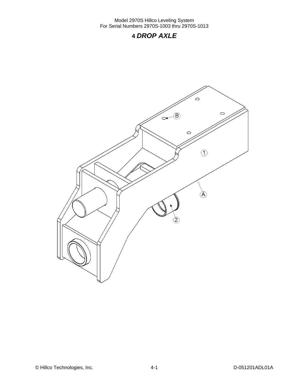## **4** *DROP AXLE*

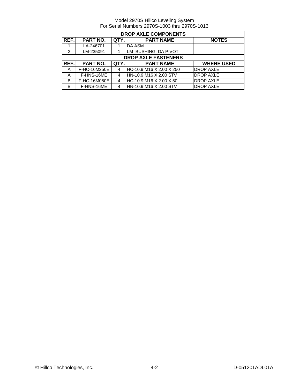|               | <b>DROP AXLE COMPONENTS</b> |      |                            |                   |  |  |  |
|---------------|-----------------------------|------|----------------------------|-------------------|--|--|--|
| REF.          | <b>PART NO.</b>             | QTY. | <b>PART NAME</b>           | <b>NOTES</b>      |  |  |  |
|               | LA-246701                   |      | DA ASM                     |                   |  |  |  |
| $\mathcal{P}$ | LM-235091                   |      | LM BUSHING, DA PIVOT       |                   |  |  |  |
|               |                             |      | <b>DROP AXLE FASTENERS</b> |                   |  |  |  |
| REF.          | PART NO.                    | QTY. | <b>PART NAME</b>           | <b>WHERE USED</b> |  |  |  |
| A             | F-HC-16M250E                | 4    | HC-10.9 M16 X 2.00 X 250   | <b>DROP AXLE</b>  |  |  |  |
| A             | F-HNS-16ME                  | 4    | HN-10.9 M16 X 2.00 STV     | <b>DROP AXLE</b>  |  |  |  |
| B             | F-HC-16M050E                | 4    | HC-10.9 M16 X 2.00 X 50    | <b>DROP AXLE</b>  |  |  |  |
| B             | F-HNS-16ME                  | 4    | HN-10.9 M16 X 2.00 STV     | <b>DROP AXLE</b>  |  |  |  |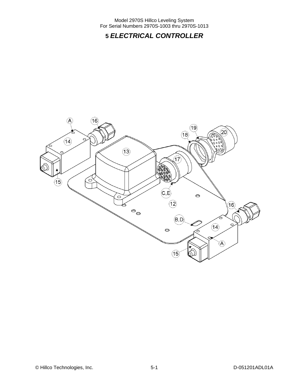# **5** *ELECTRICAL CONTROLLER*

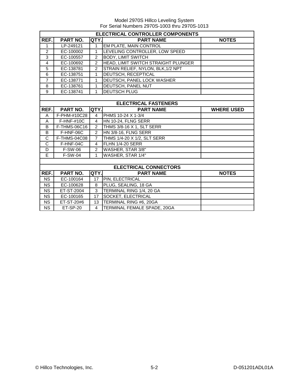|                | ELECTRICAL CONTROLLER COMPONENTS |                |                                     |                   |  |  |
|----------------|----------------------------------|----------------|-------------------------------------|-------------------|--|--|
| REF.           | <b>PART NO.</b>                  | QTY.           | <b>PART NAME</b>                    | <b>NOTES</b>      |  |  |
| 1              | LP-249121                        | 1              | EM PLATE, MAIN CONTROL              |                   |  |  |
| 2              | EC-100002                        | 1              | LEVELING CONTROLLER, LOW SPEED      |                   |  |  |
| 3              | EC-100557                        | $\overline{2}$ | <b>BODY, LIMIT SWITCH</b>           |                   |  |  |
| $\overline{4}$ | EC-100692                        | $\overline{2}$ | HEAD, LIMIT SWITCH STRAIGHT PLUNGER |                   |  |  |
| 5              | EC-138781                        | $\mathfrak{p}$ | STRAIN RELIEF, NYLON, BLK, 1/2 NPT  |                   |  |  |
| 6              | EC-138751                        | 1              | DEUTSCH, RECEPTICAL                 |                   |  |  |
| $\overline{7}$ | EC-138771                        | 1              | DEUTSCH, PANEL LOCK WASHER          |                   |  |  |
| 8              | EC-138761                        | 1              | <b>DEUTSCH, PANEL NUT</b>           |                   |  |  |
| 9              | EC-138741                        | 1              | <b>DEUTSCH PLUG</b>                 |                   |  |  |
|                |                                  |                |                                     |                   |  |  |
|                |                                  |                | <b>ELECTRICAL FASTENERS</b>         |                   |  |  |
| REF.           | PART NO.                         | <b>QTY.</b>    | <b>PART NAME</b>                    | <b>WHERE USED</b> |  |  |
| A              | F-PHM-#10C28                     | 4              | PHMS 10-24 X 1-3/4                  |                   |  |  |
| A              | $F-HNF-#10C$                     | 4              | HN 10-24. FLNG SERR                 |                   |  |  |
| B              | F-THMS-06C16                     | $\overline{2}$ | THMS 3/8-16 X 1, SLT SERR           |                   |  |  |
| B              | F-HNF-06C                        | $\overline{2}$ | HN 3/8-16, FLNG SERR                |                   |  |  |
| C              | F-THMS-04C08                     | $\overline{7}$ | THMS 1/4-20 X 1/2, SLT SERR         |                   |  |  |
| $\mathsf{C}$   | F-HNF-04C                        | 4              | <b>FLHN 1/4-20 SERR</b>             |                   |  |  |
| D              | <b>F-SW-06</b>                   | $\overline{2}$ | WASHER, STAR 3/8"                   |                   |  |  |
| E              | <b>F-SW-04</b>                   | 1              | WASHER, STAR 1/4"                   |                   |  |  |
|                |                                  |                |                                     |                   |  |  |
|                |                                  |                | <b>ELECTRICAL CONNECTORS</b>        |                   |  |  |
| REF.           | <b>PART NO.</b>                  | QTY.           | <b>PART NAME</b>                    | <b>NOTES</b>      |  |  |
| <b>NS</b>      | EC-100164                        | 17             | <b>PIN, ELECTRICAL</b>              |                   |  |  |
| <b>NS</b>      | EC-100628                        | 8              | PLUG, SEALING, 18 GA                |                   |  |  |
| <b>NS</b>      | ET-ST-2004                       | 3              | TERMINAL RING 1/4, 20 GA            |                   |  |  |
| <b>NS</b>      | EC-100165                        | 17             | SOCKET, ELECTRICAL                  |                   |  |  |
| <b>NS</b>      | ET-ST-20#6                       | 13             | TERMINAL RING #6, 20GA              |                   |  |  |
| <b>NS</b>      | ET-SP-20                         | 4              | TERMINAL FEMALE SPADE, 20GA         |                   |  |  |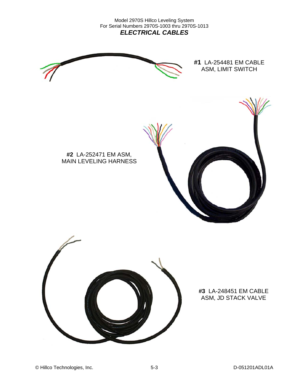Model 2970S Hillco Leveling System For Serial Numbers 2970S-1003 thru 2970S-1013 *ELECTRICAL CABLES* 



**#1** LA-254481 EM CABLE ASM, LIMIT SWITCH



**#2** LA-252471 EM ASM, MAIN LEVELING HARNESS



### **#3** LA-248451 EM CABLE ASM, JD STACK VALVE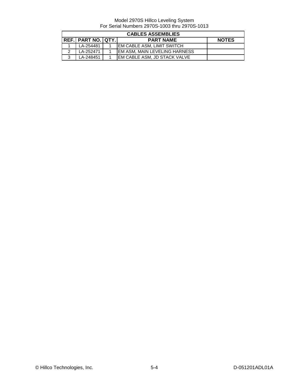|   | <b>CABLES ASSEMBLIES</b>     |  |                                       |              |  |  |
|---|------------------------------|--|---------------------------------------|--------------|--|--|
|   | <b>REF.I PART NO. IQTY.I</b> |  | <b>PART NAME</b>                      | <b>NOTES</b> |  |  |
|   | LA-254481                    |  | <b>IEM CABLE ASM. LIMIT SWITCH</b>    |              |  |  |
| ີ | LA-252471                    |  | <b>IEM ASM. MAIN LEVELING HARNESS</b> |              |  |  |
| ີ | LA-248451                    |  | <b>IEM CABLE ASM. JD STACK VALVE</b>  |              |  |  |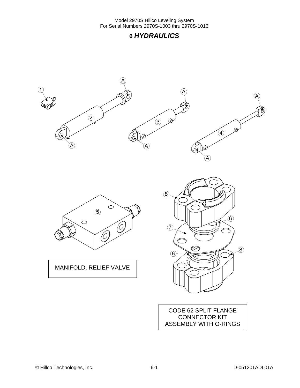## **6** *HYDRAULICS*

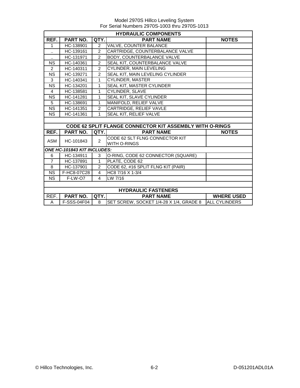|                        | <b>HYDRAULIC COMPONENTS</b> |                |                                                                 |                      |  |  |
|------------------------|-----------------------------|----------------|-----------------------------------------------------------------|----------------------|--|--|
| REF.                   | <b>PART NO.</b>             | QTY.           | <b>PART NAME</b>                                                | <b>NOTES</b>         |  |  |
| 1                      | HC-138901                   | $\overline{2}$ | <b>VALVE, COUNTER BALANCE</b>                                   |                      |  |  |
| $\ddot{\phantom{a}}$   | HC-139161                   | $\overline{2}$ | CARTRIDGE, COUNTERBALANCE VALVE                                 |                      |  |  |
|                        | HC-131971                   | $\mathfrak{p}$ | <b>BODY, COUNTERBALANCE VALVE</b>                               |                      |  |  |
| <b>NS</b>              | HC-140361                   | $\overline{2}$ | SEAL KIT, COUNTERBALANCE VALVE                                  |                      |  |  |
| $\overline{2}$         | HC-140311                   | $\overline{2}$ | CYLINDER, MAIN LEVELING                                         |                      |  |  |
| <b>NS</b>              | HC-139271                   | $\overline{2}$ | SEAL KIT, MAIN LEVELING CYLINDER                                |                      |  |  |
| 3                      | HC-140341                   | $\mathbf{1}$   | <b>CYLINDER, MASTER</b>                                         |                      |  |  |
| <b>NS</b>              | HC-134201                   | 1              | <b>SEAL KIT, MASTER CYLINDER</b>                                |                      |  |  |
| $\overline{4}$         | HC-138581                   | 1              | CYLINDER, SLAVE                                                 |                      |  |  |
| $\overline{\text{NS}}$ | HC-141281                   | $\mathbf{1}$   | SEAL KIT, SLAVE CYLINDER                                        |                      |  |  |
| 5                      | HC-138691                   | $\mathbf{1}$   | MANIFOLD, RELIEF VALVE                                          |                      |  |  |
| <b>NS</b>              | HC-141351                   | $\overline{2}$ | CARTRIDGE, RELIEF VAVLE                                         |                      |  |  |
| $\overline{\text{NS}}$ | HC-141361                   | 1              | SEAL KIT, RELIEF VALVE                                          |                      |  |  |
|                        |                             |                |                                                                 |                      |  |  |
|                        |                             |                | <b>CODE 62 SPLIT FLANGE CONNECTOR KIT ASSEMBLY WITH O-RINGS</b> |                      |  |  |
| REF.                   | <b>PART NO.</b>             | QTY.           | <b>PART NAME</b>                                                | <b>NOTES</b>         |  |  |
| <b>ASM</b>             | HC-101843                   | $\overline{2}$ | CODE 62 SLT FLNG CONNECTOR KIT                                  |                      |  |  |
|                        |                             |                | WITH O-RINGS                                                    |                      |  |  |
|                        | ONE HC-101843 KIT INCLUDES: |                |                                                                 |                      |  |  |
| 6                      | HC-134911                   | 3              | O-RING, CODE 62 CONNECTOR (SQUARE)                              |                      |  |  |
| $\overline{7}$         | HC-137891                   | $\mathbf{1}$   | PLATE, CODE 62                                                  |                      |  |  |
| 8                      | HC-137901                   | $\mathcal{P}$  | CODE 62, #16 SPLIT FLNG KIT (PAIR)                              |                      |  |  |
| $\overline{\text{NS}}$ | F-HC8-07C28                 | $\overline{4}$ | HC8 7/16 X 1-3/4                                                |                      |  |  |
| <b>NS</b>              | F-LW-O7                     | 4              | LW 7/16                                                         |                      |  |  |
|                        |                             |                |                                                                 |                      |  |  |
|                        | <b>HYDRAULIC FASTENERS</b>  |                |                                                                 |                      |  |  |
| REF.                   | <b>PART NO.</b>             | QTY.           | <b>PART NAME</b>                                                | <b>WHERE USED</b>    |  |  |
| A                      | F-SSS-04F04                 | 8              | SET SCREW, SOCKET 1/4-28 X 1/4, GRADE 8                         | <b>ALL CYLINDERS</b> |  |  |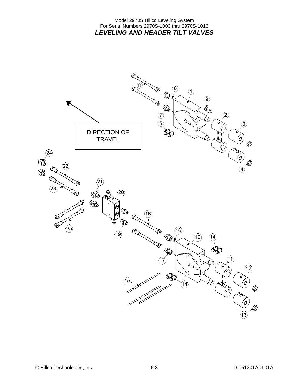### Model 2970S Hillco Leveling System For Serial Numbers 2970S-1003 thru 2970S-1013 *LEVELING AND HEADER TILT VALVES*

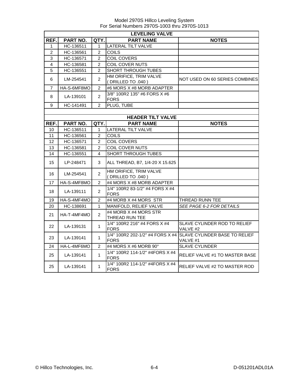|                   | <b>LEVELING VALVE</b> |                |                                                |                                                                            |  |  |  |
|-------------------|-----------------------|----------------|------------------------------------------------|----------------------------------------------------------------------------|--|--|--|
| REF.              | <b>PART NO.</b>       | QTY.           | <b>PART NAME</b>                               | <b>NOTES</b>                                                               |  |  |  |
| 1                 | HC-136511             | 1              | <b>LATERAL TILT VALVE</b>                      |                                                                            |  |  |  |
| $\overline{2}$    | HC-136561             | $\overline{2}$ | <b>COILS</b>                                   |                                                                            |  |  |  |
| 3                 | HC-136571             | $\overline{2}$ | <b>COIL COVERS</b>                             |                                                                            |  |  |  |
| 4                 | HC-136581             | $\overline{2}$ | COIL COVER NUTS                                |                                                                            |  |  |  |
| 5                 | HC-136551             | $\overline{2}$ | SHORT THROUGH TUBES                            |                                                                            |  |  |  |
| 6                 | LM-254541             | $\overline{c}$ | HM ORIFICE, TRIM VALVE<br>(DRILLED TO .040)    | NOT USED ON 60 SERIES COMBINES                                             |  |  |  |
| 7                 | HA-S-6MF8MO           | $\overline{2}$ | #6 MORS X #8 MORB ADAPTER                      |                                                                            |  |  |  |
| 8                 | LA-139101             | $\overline{c}$ | 3/8" 100R2 135" #6 FORS X #6<br><b>FORS</b>    |                                                                            |  |  |  |
| 9                 | HC-141491             | $\overline{2}$ | PLUG, TUBE                                     |                                                                            |  |  |  |
|                   |                       |                |                                                |                                                                            |  |  |  |
|                   |                       |                | <b>HEADER TILT VALVE</b>                       |                                                                            |  |  |  |
| REF.              | PART NO.              | QTY.           | <b>PART NAME</b>                               | <b>NOTES</b>                                                               |  |  |  |
| 10                | HC-136511             | 1              | LATERAL TILT VALVE                             |                                                                            |  |  |  |
| 11                | HC-136561             | $\overline{2}$ | <b>COILS</b>                                   |                                                                            |  |  |  |
| $12 \overline{ }$ | HC-136571             | $\overline{2}$ | <b>COIL COVERS</b>                             |                                                                            |  |  |  |
| 13                | HC-136581             | $\overline{c}$ | COIL COVER NUTS                                |                                                                            |  |  |  |
| 14                | HC-136551             | 4              | SHORT THROUGH TUBES                            |                                                                            |  |  |  |
| 15                | LP-248471             | 3              | ALL THREAD, B7, 1/4-20 X 15.625                |                                                                            |  |  |  |
| 16                | LM-254541             | $\overline{2}$ | HM ORIFICE, TRIM VALVE<br>(DRILLED TO .040)    |                                                                            |  |  |  |
| 17                | HA-S-4MF8MO           | $\overline{2}$ | #4 MORS X #8 MORB ADAPTER                      |                                                                            |  |  |  |
| 18                | LA-139111             | $\overline{2}$ | 1/4" 100R2 83-1/2" #4 FORS X #4<br><b>FORS</b> |                                                                            |  |  |  |
| 19                | HA-S-4MF4MO           | $\overline{2}$ | #4 MORB X #4 MORS STR                          | THREAD RUNN TEE                                                            |  |  |  |
| 20                | HC-138691             | 1              | MANIFOLD, RELIEF VALVE                         | <b>SEE PAGE 6-2 FOR DETAILS</b>                                            |  |  |  |
| 21                | HA-T-4MF4MO           | $\overline{2}$ | #4 MORB X #4 MORS STR<br>THREAD RUN TEE        |                                                                            |  |  |  |
| 22                | LA-139131             | 1              | 1/4" 100R2 216" #4 FORS X #4<br><b>FORS</b>    | SLAVE CYLINDER ROD TO RELIEF<br>VALVE #2                                   |  |  |  |
| 23                | LA-139141             | 1              | <b>FORS</b>                                    | 1/4" 100R2 202-1/2" #4 FORS X #4 SLAVE CYLINDER BASE TO RELIEF<br>VALVE #1 |  |  |  |
| 24                | HA-L-4MF6MO           | $\overline{2}$ | #4 MORS X #6 MORB 90°                          | <b>SLAVE CYLINDER</b>                                                      |  |  |  |
| 25                | LA-139141             | 1              | 1/4" 100R2 114-1/2" #4FORS X #4<br><b>FORS</b> | <b>RELIEF VALVE #1 TO MASTER BASE</b>                                      |  |  |  |
| 25                | LA-139141             | 1              | 1/4" 100R2 114-1/2" #4FORS X #4<br><b>FORS</b> | RELIEF VALVE #2 TO MASTER ROD                                              |  |  |  |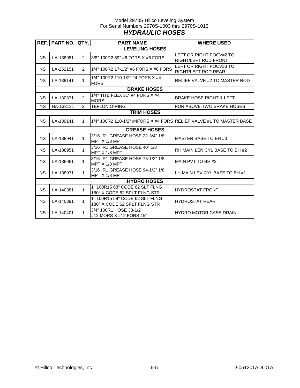### Model 2970S Hillco Leveling System For Serial Numbers 2970S-1003 thru 2970S-1013 *HYDRAULIC HOSES*

|           | REF.   PART NO.   QTY. |                | <b>PART NAME</b>                                                    | <b>WHERE USED</b>                               |  |  |  |  |
|-----------|------------------------|----------------|---------------------------------------------------------------------|-------------------------------------------------|--|--|--|--|
|           | <b>LEVELING HOSES</b>  |                |                                                                     |                                                 |  |  |  |  |
| <b>NS</b> | LA-138981              | $\overline{2}$ | 3/8" 100R2 59" #6 FORS X #6 FORS                                    | LEFT OR RIGHT POCV#2 TO<br>RIGHT/LEFT ROD FRONT |  |  |  |  |
| <b>NS</b> | LA-252151              | $\overline{2}$ | 1/4" 100R2 17-1/2" #6 FORS X #6 FORS                                | LEFT OR RIGHT POCV#3 TO<br>RIGHT/LEFT ROD REAR  |  |  |  |  |
| <b>NS</b> | LA-139141              | 1              | 1/4" 100R2 110-1/2" #4 FORS X #4<br><b>FORS</b>                     | RELIEF VALVE #2 TO MASTER ROD                   |  |  |  |  |
|           |                        |                | <b>BRAKE HOSES</b>                                                  |                                                 |  |  |  |  |
| <b>NS</b> | LA-130371              | $\overline{2}$ | 1/4" TITE FLEX 31" #4 FORS X #4<br><b>MORS</b>                      | <b>BRAKE HOSE RIGHT &amp; LEFT</b>              |  |  |  |  |
| <b>NS</b> | HA-133131              | 2              | <b>TEFLON O-RING</b>                                                | FOR ABOVE TWO BRAKE HOSES                       |  |  |  |  |
|           |                        |                | <b>TRIM HOSES</b>                                                   |                                                 |  |  |  |  |
| <b>NS</b> | LA-139141              | $\mathbf{1}$   | 1/4" 100R2 110-1/2" #4FORS X #4 FORSIRELIEF VALVE #1 TO MASTER BASE |                                                 |  |  |  |  |
|           |                        |                | <b>GREASE HOSES</b>                                                 |                                                 |  |  |  |  |
| <b>NS</b> | LA-138941              | 1              | 3/16" R1 GREASE HOSE 22-3/4" 1/8<br>MPT X 1/8 MPT                   | MASTER BASE TO BH #3                            |  |  |  |  |
| <b>NS</b> | LA-138951              | $\mathbf{1}$   | 3/16" R1 GREASE HOSE 40" 1/8<br>MPT X 1/8 MPT                       | RH MAIN LEN CYL BASE TO BH #2                   |  |  |  |  |
| <b>NS</b> | LA-138961              | 1              | 3/16" R1 GREASE HOSE 78-1/2" 1/8<br>MPT X 1/8 MPT                   | MAIN PVT TO BH #2                               |  |  |  |  |
| <b>NS</b> | LA-138971              | $\mathbf{1}$   | 3/16" R1 GREASE HOSE 94-1/2" 1/8<br>MPT X 1/8 MPT                   | LH MAIN LEV CYL BASE TO BH #1                   |  |  |  |  |
|           |                        |                | <b>HYDRO HOSES</b>                                                  |                                                 |  |  |  |  |
| <b>NS</b> | LA-140381              | 1              | 1" 100R15 68" CODE 62 SLT FLNG<br>180° X CODE 62 SPLT FLNG STR      | <b>HYDROSTAT FRONT</b>                          |  |  |  |  |
| <b>NS</b> | LA-140391              | 1              | 1" 100R15 58" CODE 62 SLT FLNG<br>180° X CODE 62 SPLT FLNG STR      | <b>HYDROSTAT REAR</b>                           |  |  |  |  |
| <b>NS</b> | LA-140401              | 1              | 3/4" 100R1 HOSE 38-1/2"<br>#12 MORS X #12 FORS 45 $^{\circ}$        | <b>HYDRO MOTOR CASE DRAIN</b>                   |  |  |  |  |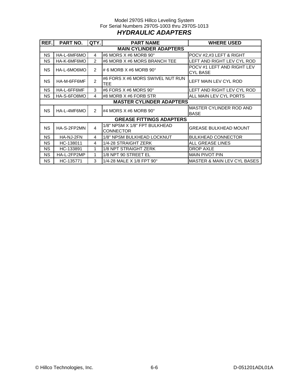### Model 2970S Hillco Leveling System For Serial Numbers 2970S-1003 thru 2970S-1013 *HYDRAULIC ADAPTERS*

| REF.      | PART NO.                      | QTY.           | <b>PART NAME</b>                                  | <b>WHERE USED</b>                      |  |  |  |
|-----------|-------------------------------|----------------|---------------------------------------------------|----------------------------------------|--|--|--|
|           | <b>MAIN CYLINDER ADAPTERS</b> |                |                                                   |                                        |  |  |  |
| <b>NS</b> | HA-L-6MF6MO                   | 4              | #6 MORS $X$ #6 MORB 90 $^{\circ}$                 | POCV #2,#3 LEFT & RIGHT                |  |  |  |
| NS.       | HA-K-6MF6MO                   | 2              | #6 MORB X #6 MORS BRANCH TEE                      | LEFT AND RIGHT LEV CYL ROD             |  |  |  |
| <b>NS</b> | HA-L-6MO6MO                   | 2              | # 6 MORB $X$ #6 MORB 90 $^{\circ}$                | POCV #1 LEFT AND RIGHT LEV<br>CYL BASE |  |  |  |
| <b>NS</b> | HA-M-6FF6MF                   | $\mathfrak{p}$ | #6 FORS X #6 MORS SWIVEL NUT RUN<br><b>TEE</b>    | LEFT MAIN LEV CYL ROD                  |  |  |  |
| <b>NS</b> | HA-L-6FF6MF                   | 3              | #6 FORS X #6 MORS 90°                             | LEFT AND RIGHT LEV CYL ROD             |  |  |  |
| <b>NS</b> | HA-S-6FO8MO                   | 4              | #8 MORB X #6 FORB STR                             | ALL MAIN LEV CYL PORTS                 |  |  |  |
|           |                               |                | <b>MASTER CYLINDER ADAPTERS</b>                   |                                        |  |  |  |
| <b>NS</b> | HA-L-4MF6MO                   | $\mathfrak{p}$ | #4 MORS $X$ #6 MORB 90 $^{\circ}$                 | MASTER CYLINDER ROD AND<br><b>BASE</b> |  |  |  |
|           |                               |                | <b>GREASE FITTINGS ADAPTERS</b>                   |                                        |  |  |  |
| <b>NS</b> | HA-S-2FP2MN                   | $\overline{4}$ | 1/8" NPSM X 1/8" FPT BULKHEAD<br><b>CONNECTOR</b> | <b>GREASE BULKHEAD MOUNT</b>           |  |  |  |
| <b>NS</b> | HA-NJ-2FN                     | 4              | 1/8" NPSM BULKHEAD LOCKNUT                        | <b>BULKHEAD CONNECTOR</b>              |  |  |  |
| NS.       | HC-138011                     | 4              | 1/4-28 STRAIGHT ZERK                              | <b>ALL GREASE LINES</b>                |  |  |  |
| NS.       | HC-133891                     | 1              | 1/8 NPT STRAIGHT ZERK                             | <b>DROP AXLE</b>                       |  |  |  |
| NS.       | HA-L-2FP2MP                   | 1              | 1/8 NPT 90 STREET EL                              | <b>MAIN PIVOT PIN</b>                  |  |  |  |
| NS.       | HC-135771                     | 3              | 1/4-28 MALE X 1/8 FPT 90°                         | <b>MASTER &amp; MAIN LEV CYL BASES</b> |  |  |  |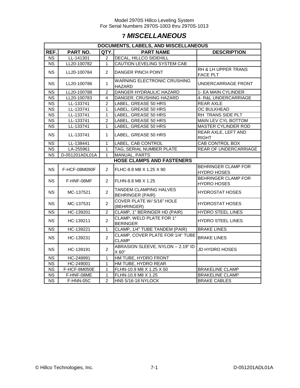# **7** *MISCELLANEOUS*

| DOCUMENTS, LABELS, AND MISCELLANEOUS |                                  |                |                                                   |                                                  |  |  |  |  |  |  |
|--------------------------------------|----------------------------------|----------------|---------------------------------------------------|--------------------------------------------------|--|--|--|--|--|--|
| REF.                                 | PART NO.                         |                | QTY.<br><b>PART NAME</b>                          | <b>DESCRIPTION</b>                               |  |  |  |  |  |  |
| <b>NS</b>                            | LL-141301                        | $\overline{2}$ | <b>DECAL, HILLCO SIDEHILL</b>                     |                                                  |  |  |  |  |  |  |
| $\overline{\text{NS}}$               | LL20-100782                      | $\mathbf{1}$   | CAUTION LEVELING SYSTEM CAB                       |                                                  |  |  |  |  |  |  |
| <b>NS</b>                            | LL20-100784                      | $\overline{2}$ | <b>DANGER PINCH POINT</b>                         | RH & LH UPPER TRANS<br><b>FACE PLT</b>           |  |  |  |  |  |  |
| <b>NS</b>                            | LL20-100786                      | $\mathbf{1}$   | <b>WARNING ELECTRONIC CRUSHING</b><br>HAZARD      | UNDERCARRIAGE FRONT                              |  |  |  |  |  |  |
| <b>NS</b>                            | LL20-100788                      | $\overline{2}$ | DANGER HYDRAULIC HAZARD                           | 1- EA MAIN CYLINDER                              |  |  |  |  |  |  |
| <b>NS</b>                            | LL20-100783                      | 4              | DANGER, CRUSHING HAZARD                           | 4- R&L UNDERCARRIAGE                             |  |  |  |  |  |  |
| $\overline{\text{NS}}$               | LL-133741                        | $\overline{2}$ | LABEL, GREASE 50 HRS                              | <b>REAR AXLE</b>                                 |  |  |  |  |  |  |
| <b>NS</b>                            | LL-133741                        | 1              | LABEL, GREASE 50 HRS                              | OC BULKHEAD                                      |  |  |  |  |  |  |
| <b>NS</b>                            | LL-133741                        | $\mathbf{1}$   | LABEL, GREASE 50 HRS                              | RH TRANS SIDE PLT                                |  |  |  |  |  |  |
| <b>NS</b>                            | LL-133741                        | $\overline{2}$ | LABEL, GREASE 50 HRS                              | MAIN LEV CYL BOTTOM                              |  |  |  |  |  |  |
| <b>NS</b>                            | LL-133741                        | 1              | LABEL, GREASE 50 HRS                              | MASTER CYLINDER ROD                              |  |  |  |  |  |  |
| <b>NS</b>                            | LL-133741                        | 1              | LABEL, GREASE 50 HRS                              | REAR AXLE, LEFT AND<br><b>RIGHT</b>              |  |  |  |  |  |  |
| <b>NS</b>                            | LL-138441                        | $\mathbf{1}$   | LABEL, CAB CONTROL                                | CAB CONTROL BOX                                  |  |  |  |  |  |  |
| <b>NS</b>                            | LA-255961                        | 1              | TAG, SERIAL NUMBER PLATE                          | REAR OF UNDERCARRIAGE                            |  |  |  |  |  |  |
| <b>NS</b>                            | D-051201ADL01A                   | 1              | MANUAL, PARTS                                     |                                                  |  |  |  |  |  |  |
|                                      | <b>HOSE CLAMPS AND FASTENERS</b> |                |                                                   |                                                  |  |  |  |  |  |  |
| <b>NS</b>                            | F-HCF-08M090F                    | $\overline{2}$ | FLHC-8.8 M8 X 1.25 X 90                           | <b>BEHRINGER CLAMP FOR</b><br><b>HYDRO HOSES</b> |  |  |  |  |  |  |
| <b>NS</b>                            | F-HNF-08MF                       | $\overline{2}$ | FLHN-8.8 M8 X 1.25                                | BEHRINGER CLAMP FOR<br><b>HYDRO HOSES</b>        |  |  |  |  |  |  |
| NS.                                  | MC-137521                        | $\overline{2}$ | TANDEM CLAMPING HALVES<br><b>BEHRINGER (PAIR)</b> | <b>HYDROSTAT HOSES</b>                           |  |  |  |  |  |  |
| NS.                                  | MC-137531                        | $\overline{2}$ | COVER PLATE W/ 5/16" HOLE<br>(BEHRINGER)          | <b>HYDROSTAT HOSES</b>                           |  |  |  |  |  |  |
| <b>NS</b>                            | HC-139201                        | $\overline{c}$ | CLAMP, 1" BERINGER HD (PAIR)                      | HYDRO STEEL LINES                                |  |  |  |  |  |  |
| <b>NS</b>                            | HC-139211                        | $\overline{2}$ | CLAMP, WELD PLATE FOR 1"<br><b>BERINGER</b>       | <b>HYDRO STEEL LINES</b>                         |  |  |  |  |  |  |
| NS.                                  | HC-139221                        | 1              | CLAMP, 1/4" TUBE TANDEM (PAIR)                    | <b>BRAKE LINES</b>                               |  |  |  |  |  |  |
| <b>NS</b>                            | HC-139231                        | $\overline{2}$ | CLAMP, COVER PLATE FOR 1/4" TUBE<br><b>CLAMP</b>  | <b>BRAKE LINES</b>                               |  |  |  |  |  |  |
| <b>NS</b>                            | HC-139191                        | $\overline{2}$ | ABRASION SLEEVE, NYLON -- 2.19" ID<br>X 60"       | JD HYDRO HOSES                                   |  |  |  |  |  |  |
| <b>NS</b>                            | HC-248991                        | $\overline{1}$ | HM TUBE, HYDRO FRONT                              |                                                  |  |  |  |  |  |  |
| <b>NS</b>                            | HC-249001                        | $\mathbf{1}$   | HM TUBE, HYDRO REAR                               |                                                  |  |  |  |  |  |  |
| $\overline{\text{NS}}$               | F-HCF-8M050E                     | $\mathbf{1}$   | FLHN-10.9 M8 X 1.25 X 50                          | <b>BRAKELINE CLAMP</b>                           |  |  |  |  |  |  |
| <b>NS</b>                            | F-HNF-08ME                       | 1              | FLHN-10.9 M8 X 1.25                               | <b>BRAKELINE CLAMP</b>                           |  |  |  |  |  |  |
| $\overline{\text{NS}}$               | F-HNN-05C                        | $\overline{2}$ | HN5 5/16-18 NYLOCK                                | <b>BRAKE CABLES</b>                              |  |  |  |  |  |  |